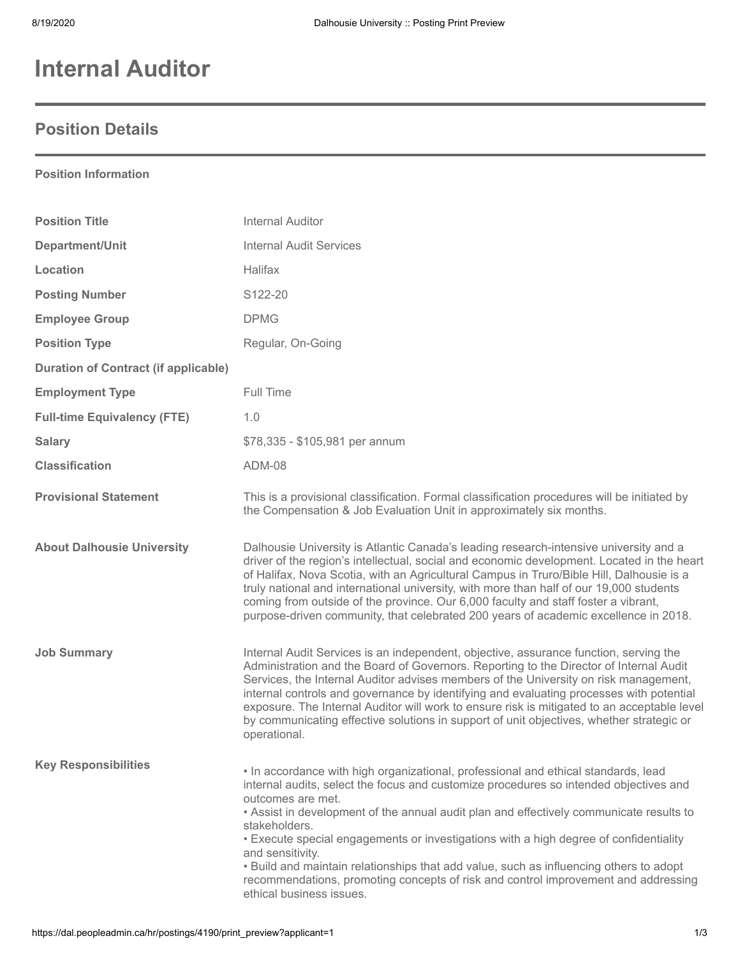# **Internal Auditor**

### **Position Details**

### **Position Information**

| <b>Position Title</b>                       | <b>Internal Auditor</b>                                                                                                                                                                                                                                                                                                                                                                                                                                                                                                                                                                                                               |
|---------------------------------------------|---------------------------------------------------------------------------------------------------------------------------------------------------------------------------------------------------------------------------------------------------------------------------------------------------------------------------------------------------------------------------------------------------------------------------------------------------------------------------------------------------------------------------------------------------------------------------------------------------------------------------------------|
| Department/Unit                             | <b>Internal Audit Services</b>                                                                                                                                                                                                                                                                                                                                                                                                                                                                                                                                                                                                        |
| Location                                    | Halifax                                                                                                                                                                                                                                                                                                                                                                                                                                                                                                                                                                                                                               |
| <b>Posting Number</b>                       | S122-20                                                                                                                                                                                                                                                                                                                                                                                                                                                                                                                                                                                                                               |
| <b>Employee Group</b>                       | <b>DPMG</b>                                                                                                                                                                                                                                                                                                                                                                                                                                                                                                                                                                                                                           |
| <b>Position Type</b>                        | Regular, On-Going                                                                                                                                                                                                                                                                                                                                                                                                                                                                                                                                                                                                                     |
| <b>Duration of Contract (if applicable)</b> |                                                                                                                                                                                                                                                                                                                                                                                                                                                                                                                                                                                                                                       |
| <b>Employment Type</b>                      | Full Time                                                                                                                                                                                                                                                                                                                                                                                                                                                                                                                                                                                                                             |
| <b>Full-time Equivalency (FTE)</b>          | 1.0                                                                                                                                                                                                                                                                                                                                                                                                                                                                                                                                                                                                                                   |
| <b>Salary</b>                               | \$78,335 - \$105,981 per annum                                                                                                                                                                                                                                                                                                                                                                                                                                                                                                                                                                                                        |
| <b>Classification</b>                       | <b>ADM-08</b>                                                                                                                                                                                                                                                                                                                                                                                                                                                                                                                                                                                                                         |
| <b>Provisional Statement</b>                | This is a provisional classification. Formal classification procedures will be initiated by<br>the Compensation & Job Evaluation Unit in approximately six months.                                                                                                                                                                                                                                                                                                                                                                                                                                                                    |
| <b>About Dalhousie University</b>           | Dalhousie University is Atlantic Canada's leading research-intensive university and a<br>driver of the region's intellectual, social and economic development. Located in the heart<br>of Halifax, Nova Scotia, with an Agricultural Campus in Truro/Bible Hill, Dalhousie is a<br>truly national and international university, with more than half of our 19,000 students<br>coming from outside of the province. Our 6,000 faculty and staff foster a vibrant,<br>purpose-driven community, that celebrated 200 years of academic excellence in 2018.                                                                               |
| <b>Job Summary</b>                          | Internal Audit Services is an independent, objective, assurance function, serving the<br>Administration and the Board of Governors. Reporting to the Director of Internal Audit<br>Services, the Internal Auditor advises members of the University on risk management,<br>internal controls and governance by identifying and evaluating processes with potential<br>exposure. The Internal Auditor will work to ensure risk is mitigated to an acceptable level<br>by communicating effective solutions in support of unit objectives, whether strategic or<br>operational.                                                         |
| <b>Key Responsibilities</b>                 | . In accordance with high organizational, professional and ethical standards, lead<br>internal audits, select the focus and customize procedures so intended objectives and<br>outcomes are met.<br>. Assist in development of the annual audit plan and effectively communicate results to<br>stakeholders.<br>• Execute special engagements or investigations with a high degree of confidentiality<br>and sensitivity.<br>. Build and maintain relationships that add value, such as influencing others to adopt<br>recommendations, promoting concepts of risk and control improvement and addressing<br>ethical business issues. |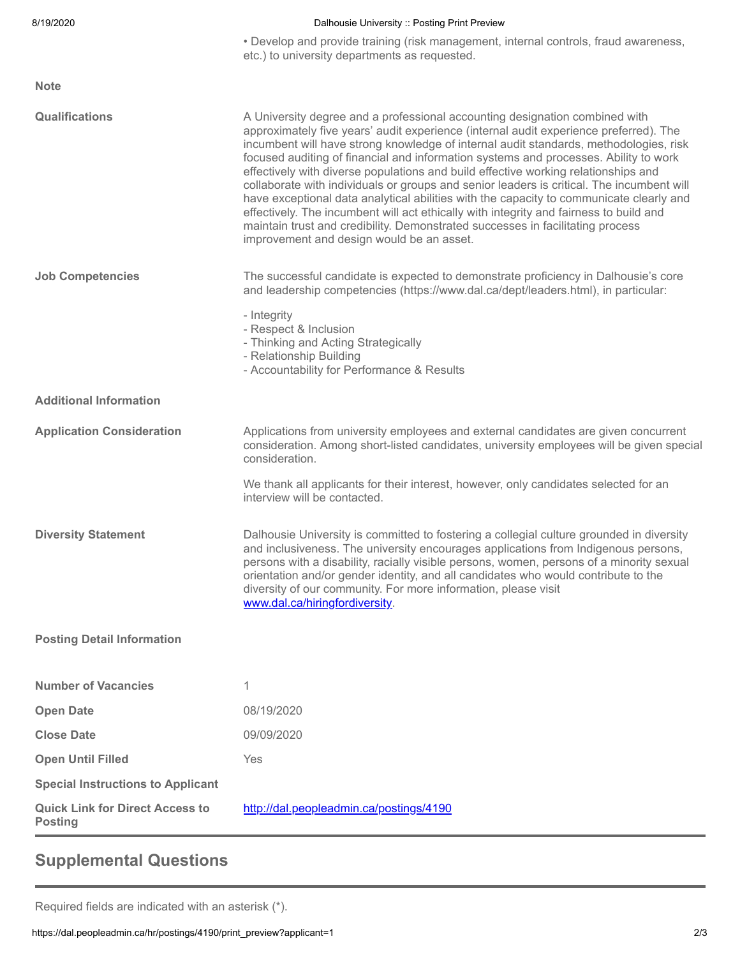| 8/19/2020                                                | Dalhousie University :: Posting Print Preview                                                                                                                                                                                                                                                                                                                                                                                                                                                                                                                                                                                                                                                                                                                                                                                                                |
|----------------------------------------------------------|--------------------------------------------------------------------------------------------------------------------------------------------------------------------------------------------------------------------------------------------------------------------------------------------------------------------------------------------------------------------------------------------------------------------------------------------------------------------------------------------------------------------------------------------------------------------------------------------------------------------------------------------------------------------------------------------------------------------------------------------------------------------------------------------------------------------------------------------------------------|
|                                                          | • Develop and provide training (risk management, internal controls, fraud awareness,<br>etc.) to university departments as requested.                                                                                                                                                                                                                                                                                                                                                                                                                                                                                                                                                                                                                                                                                                                        |
| <b>Note</b>                                              |                                                                                                                                                                                                                                                                                                                                                                                                                                                                                                                                                                                                                                                                                                                                                                                                                                                              |
| <b>Qualifications</b>                                    | A University degree and a professional accounting designation combined with<br>approximately five years' audit experience (internal audit experience preferred). The<br>incumbent will have strong knowledge of internal audit standards, methodologies, risk<br>focused auditing of financial and information systems and processes. Ability to work<br>effectively with diverse populations and build effective working relationships and<br>collaborate with individuals or groups and senior leaders is critical. The incumbent will<br>have exceptional data analytical abilities with the capacity to communicate clearly and<br>effectively. The incumbent will act ethically with integrity and fairness to build and<br>maintain trust and credibility. Demonstrated successes in facilitating process<br>improvement and design would be an asset. |
| <b>Job Competencies</b>                                  | The successful candidate is expected to demonstrate proficiency in Dalhousie's core<br>and leadership competencies (https://www.dal.ca/dept/leaders.html), in particular:                                                                                                                                                                                                                                                                                                                                                                                                                                                                                                                                                                                                                                                                                    |
|                                                          | - Integrity<br>- Respect & Inclusion<br>- Thinking and Acting Strategically<br>- Relationship Building<br>- Accountability for Performance & Results                                                                                                                                                                                                                                                                                                                                                                                                                                                                                                                                                                                                                                                                                                         |
| <b>Additional Information</b>                            |                                                                                                                                                                                                                                                                                                                                                                                                                                                                                                                                                                                                                                                                                                                                                                                                                                                              |
| <b>Application Consideration</b>                         | Applications from university employees and external candidates are given concurrent<br>consideration. Among short-listed candidates, university employees will be given special<br>consideration.                                                                                                                                                                                                                                                                                                                                                                                                                                                                                                                                                                                                                                                            |
|                                                          | We thank all applicants for their interest, however, only candidates selected for an<br>interview will be contacted.                                                                                                                                                                                                                                                                                                                                                                                                                                                                                                                                                                                                                                                                                                                                         |
| <b>Diversity Statement</b>                               | Dalhousie University is committed to fostering a collegial culture grounded in diversity<br>and inclusiveness. The university encourages applications from Indigenous persons,<br>persons with a disability, racially visible persons, women, persons of a minority sexual<br>orientation and/or gender identity, and all candidates who would contribute to the<br>diversity of our community. For more information, please visit<br>www.dal.ca/hiringfordiversity.                                                                                                                                                                                                                                                                                                                                                                                         |
| <b>Posting Detail Information</b>                        |                                                                                                                                                                                                                                                                                                                                                                                                                                                                                                                                                                                                                                                                                                                                                                                                                                                              |
| <b>Number of Vacancies</b>                               | 1                                                                                                                                                                                                                                                                                                                                                                                                                                                                                                                                                                                                                                                                                                                                                                                                                                                            |
| <b>Open Date</b>                                         | 08/19/2020                                                                                                                                                                                                                                                                                                                                                                                                                                                                                                                                                                                                                                                                                                                                                                                                                                                   |
| <b>Close Date</b>                                        | 09/09/2020                                                                                                                                                                                                                                                                                                                                                                                                                                                                                                                                                                                                                                                                                                                                                                                                                                                   |
| <b>Open Until Filled</b>                                 | Yes                                                                                                                                                                                                                                                                                                                                                                                                                                                                                                                                                                                                                                                                                                                                                                                                                                                          |
| <b>Special Instructions to Applicant</b>                 |                                                                                                                                                                                                                                                                                                                                                                                                                                                                                                                                                                                                                                                                                                                                                                                                                                                              |
| <b>Quick Link for Direct Access to</b><br><b>Posting</b> | http://dal.peopleadmin.ca/postings/4190                                                                                                                                                                                                                                                                                                                                                                                                                                                                                                                                                                                                                                                                                                                                                                                                                      |

# **Supplemental Questions**

Required fields are indicated with an asterisk (\*).